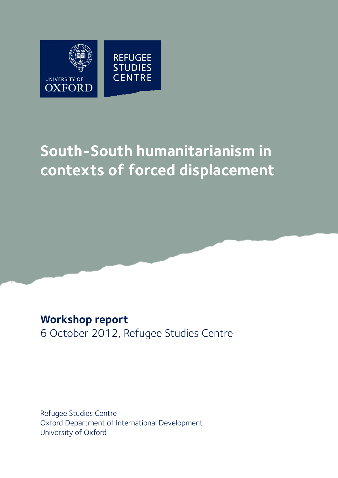

# **South-South humanitarianism in contexts of forced displacement**

# **Workshop report** 6 October 2012, Refugee Studies Centre

Refugee Studies Centre Oxford Department of International Development University of Oxford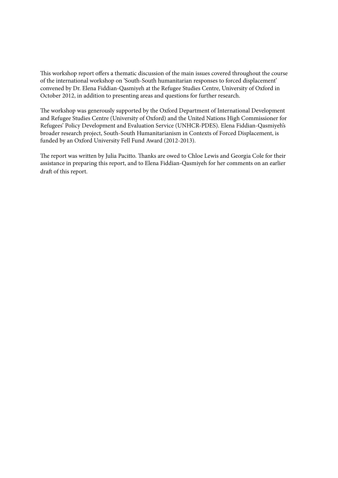This workshop report offers a thematic discussion of the main issues covered throughout the course of the international workshop on 'South-South humanitarian responses to forced displacement' convened by Dr. Elena Fiddian-Qasmiyeh at the Refugee Studies Centre, University of Oxford in October 2012, in addition to presenting areas and questions for further research.

The workshop was generously supported by the Oxford Department of International Development and Refugee Studies Centre (University of Oxford) and the United Nations High Commissioner for Refugees' Policy Development and Evaluation Service (UNHCR-PDES). Elena Fiddian-Qasmiyeh's broader research project, South-South Humanitarianism in Contexts of Forced Displacement, is funded by an Oxford University Fell Fund Award (2012-2013).

The report was written by Julia Pacitto. Thanks are owed to Chloe Lewis and Georgia Cole for their assistance in preparing this report, and to Elena Fiddian-Qasmiyeh for her comments on an earlier draft of this report.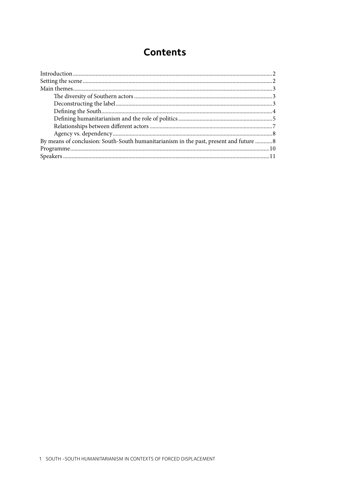# **Contents**

| By means of conclusion: South-South humanitarianism in the past, present and future  8 |  |
|----------------------------------------------------------------------------------------|--|
|                                                                                        |  |
|                                                                                        |  |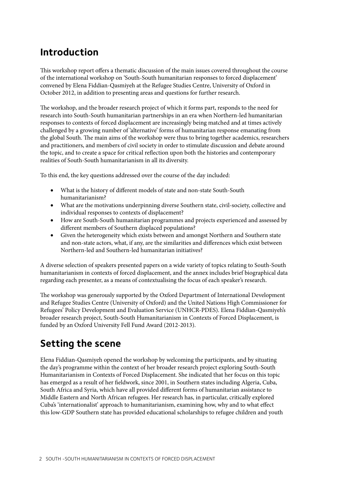# **Introduction**

This workshop report offers a thematic discussion of the main issues covered throughout the course of the international workshop on 'South-South humanitarian responses to forced displacement' convened by Elena Fiddian-Qasmiyeh at the Refugee Studies Centre, University of Oxford in October 2012, in addition to presenting areas and questions for further research.

The workshop, and the broader research project of which it forms part, responds to the need for research into South-South humanitarian partnerships in an era when Northern-led humanitarian responses to contexts of forced displacement are increasingly being matched and at times actively challenged by a growing number of 'alternative' forms of humanitarian response emanating from the global South. The main aims of the workshop were thus to bring together academics, researchers and practitioners, and members of civil society in order to stimulate discussion and debate around the topic, and to create a space for critical reflection upon both the histories and contemporary realities of South-South humanitarianism in all its diversity.

To this end, the key questions addressed over the course of the day included:

- What is the history of different models of state and non-state South-South humanitarianism?
- What are the motivations underpinning diverse Southern state, civil-society, collective and individual responses to contexts of displacement?
- How are South-South humanitarian programmes and projects experienced and assessed by different members of Southern displaced populations?
- Given the heterogeneity which exists between and amongst Northern and Southern state and non-state actors, what, if any, are the similarities and differences which exist between Northern-led and Southern-led humanitarian initiatives?

A diverse selection of speakers presented papers on a wide variety of topics relating to South-South humanitarianism in contexts of forced displacement, and the annex includes brief biographical data regarding each presenter, as a means of contextualising the focus of each speaker's research.

The workshop was generously supported by the Oxford Department of International Development and Refugee Studies Centre (University of Oxford) and the United Nations High Commissioner for Refugees' Policy Development and Evaluation Service (UNHCR-PDES). Elena Fiddian-Qasmiyeh's broader research project, South-South Humanitarianism in Contexts of Forced Displacement, is funded by an Oxford University Fell Fund Award (2012-2013).

# **Setting the scene**

Elena Fiddian-Qasmiyeh opened the workshop by welcoming the participants, and by situating the day's programme within the context of her broader research project exploring South-South Humanitarianism in Contexts of Forced Displacement. She indicated that her focus on this topic has emerged as a result of her fieldwork, since 2001, in Southern states including Algeria, Cuba, South Africa and Syria, which have all provided different forms of humanitarian assistance to Middle Eastern and North African refugees. Her research has, in particular, critically explored Cuba's 'internationalist' approach to humanitarianism, examining how, why and to what effect this low-GDP Southern state has provided educational scholarships to refugee children and youth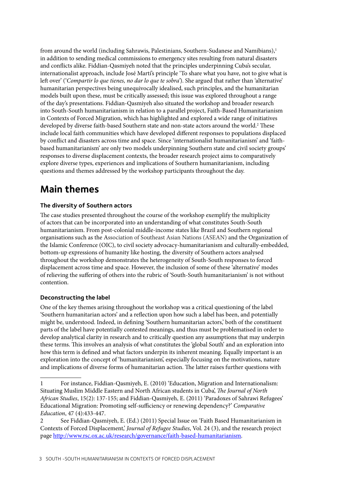from around the world (including Sahrawis, Palestinians, Southern-Sudanese and Namibians),<sup>1</sup> in addition to sending medical commissions to emergency sites resulting from natural disasters and conflicts alike. Fiddian-Qasmiyeh noted that the principles underpinning Cuba's secular, internationalist approach, include José Martí's principle 'To share what you have, not to give what is left over' ('*Compartir lo que tienes, no dar lo que te sobra'*). She argued that rather than 'alternative' humanitarian perspectives being unequivocally idealised, such principles, and the humanitarian models built upon these, must be critically assessed; this issue was explored throughout a range of the day's presentations. Fiddian-Qasmiyeh also situated the workshop and broader research into South-South humanitarianism in relation to a parallel project, [Faith-Based Humanitarianism](http://www.rsc.ox.ac.uk/research/governance/faith-based-humanitarianism)  [in Contexts of Forced Migration,](http://www.rsc.ox.ac.uk/research/governance/faith-based-humanitarianism) which has highlighted and explored a wide range of initiatives developed by diverse faith-based Southern state and non-state actors around the world.2 These include local faith communities which have developed different responses to populations displaced by conflict and disasters across time and space. Since 'internationalist humanitarianism' and 'faithbased humanitarianism' are only two models underpinning Southern state and civil society groups' responses to diverse displacement contexts, the broader research project aims to comparatively explore diverse types, experiences and implications of Southern humanitarianism, including questions and themes addressed by the workshop participants throughout the day.

# **Main themes**

# **The diversity of Southern actors**

The case studies presented throughout the course of the workshop exemplify the multiplicity of actors that can be incorporated into an understanding of what constitutes South-South humanitarianism. From post-colonial middle-income states like Brazil and Southern regional organisations such as the Association of Southeast Asian Nations (ASEAN) and the Organization of the Islamic Conference (OIC), to civil society advocacy-humanitarianism and culturally-embedded, bottom-up expressions of humanity like hosting, the diversity of Southern actors analysed throughout the workshop demonstrates the heterogeneity of South-South responses to forced displacement across time and space. However, the inclusion of some of these 'alternative' modes of relieving the suffering of others into the rubric of 'South-South humanitarianism' is not without contention.

# **Deconstructing the label**

One of the key themes arising throughout the workshop was a critical questioning of the label 'Southern humanitarian actors' and a reflection upon how such a label has been, and potentially might be, understood. Indeed, in defining 'Southern humanitarian actors,' both of the constituent parts of the label have potentially contested meanings, and thus must be problematised in order to develop analytical clarity in research and to critically question any assumptions that may underpin these terms. This involves an analysis of what constitutes the 'global South' and an exploration into how this term is defined and what factors underpin its inherent meaning. Equally important is an exploration into the concept of 'humanitarianism', especially focusing on the motivations, nature and implications of diverse forms of humanitarian action. The latter raises further questions with

<sup>1</sup> For instance, Fiddian-Qasmiyeh, E. (2010) 'Education, Migration and Internationalism: Situating Muslim Middle Eastern and North African students in Cuba', *The Journal of North African Studies*, 15(2): 137-155; and Fiddian-Qasmiyeh, E. (2011) 'Paradoxes of Sahrawi Refugees' Educational Migration: Promoting self-sufficiency or renewing dependency?' *Comparative Education*, 47 (4):433-447.

<sup>2</sup> See Fiddian-Qasmiyeh, E. (Ed.) (2011) Special Issue on 'Faith Based Humanitarianism in Contexts of Forced Displacement,' *Journal of Refugee Studies*, Vol. 24 (3), and the research project page [http://www.rsc.ox.ac.uk/research/governance/faith-based-humanitarianism.](http://www.rsc.ox.ac.uk/research/governance/faith-based-humanitarianism)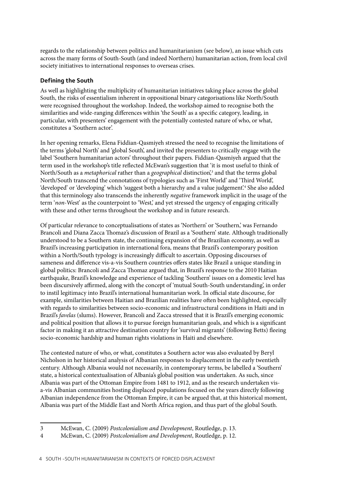regards to the relationship between politics and humanitarianism (see below), an issue which cuts across the many forms of South-South (and indeed Northern) humanitarian action, from local civil society initiatives to international responses to overseas crises.

# **Defining the South**

As well as highlighting the multiplicity of humanitarian initiatives taking place across the global South, the risks of essentialism inherent in oppositional binary categorisations like North/South were recognised throughout the workshop. Indeed, the workshop aimed to recognise both the similarities and wide-ranging differences within 'the South' as a specific category, leading, in particular, with presenters' engagement with the potentially contested nature of who, or what, constitutes a 'Southern actor'.

In her opening remarks, Elena Fiddian-Qasmiyeh stressed the need to recognise the limitations of the terms 'global North' and 'global South', and invited the presenters to critically engage with the label 'Southern humanitarian actors' throughout their papers. Fiddian-Qasmiyeh argued that the term used in the workshop's title reflected McEwan's suggestion that 'it is most useful to think of North/South as a *metaphorical* rather than a geographical distinction<sup>3</sup> and that the terms global North/South transcend the connotations of typologies such as 'First World' and 'Third World', 'developed' or 'developing' which 'suggest both a hierarchy and a value judgement'.<sup>4</sup> She also added that this terminology also transcends the inherently *negative* framework implicit in the usage of the term '*non*-West' as the counterpoint to 'West,' and yet stressed the urgency of engaging critically with these and other terms throughout the workshop and in future research.

Of particular relevance to conceptualisations of states as 'Northern' or 'Southern,' was Fernando Brancoli and Diana Zacca Thomaz's discussion of Brazil as a 'Southern' state. Although traditionally understood to be a Southern state, the continuing expansion of the Brazilian economy, as well as Brazil's increasing participation in international fora, means that Brazil's contemporary position within a North/South typology is increasingly difficult to ascertain. Opposing discourses of sameness and difference vis-a-vis Southern countries offers states like Brazil a unique standing in global politics: Brancoli and Zacca Thomaz argued that, in Brazil's response to the 2010 Haitian earthquake, Brazil's knowledge and experience of tackling 'Southern' issues on a domestic level has been discursively affirmed, along with the concept of 'mutual South-South understanding', in order to instil legitimacy into Brazil's international humanitarian work. In official state discourse, for example, similarities between Haitian and Brazilian realities have often been highlighted, especially with regards to similarities between socio-economic and infrastructural conditions in Haiti and in Brazil's *favelas* (slums). However, Brancoli and Zacca stressed that it is Brazil's emerging economic and political position that allows it to pursue foreign humanitarian goals, and which is a significant factor in making it an attractive destination country for 'survival migrants' (following Betts) fleeing socio-economic hardship and human rights violations in Haiti and elsewhere.

The contested nature of who, or what, constitutes a Southern actor was also evaluated by Beryl Nicholson in her historical analysis of Albanian responses to displacement in the early twentieth century. Although Albania would not necessarily, in contemporary terms, be labelled a 'Southern' state, a historical contextualisation of Albania's global position was undertaken. As such, since Albania was part of the Ottoman Empire from 1481 to 1912, and as the research undertaken visa-vis Albanian communities hosting displaced populations focused on the years directly following Albanian independence from the Ottoman Empire, it can be argued that, at this historical moment, Albania was part of the Middle East and North Africa region, and thus part of the global South.

<sup>3</sup> McEwan, C. (2009) *Postcolonialism and Development*, Routledge, p. 13.

<sup>4</sup> McEwan, C. (2009) *Postcolonialism and Development*, Routledge, p. 12.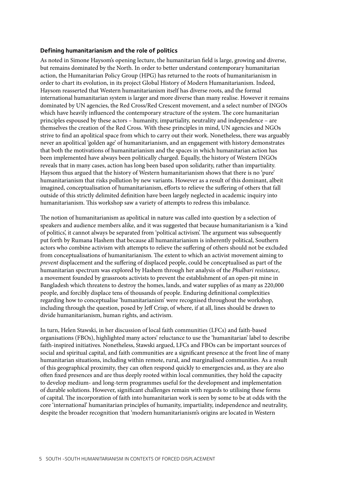### **Defining humanitarianism and the role of politics**

As noted in Simone Haysom's opening lecture, the humanitarian field is large, growing and diverse, but remains dominated by the North. In order to better understand contemporary humanitarian action, the Humanitarian Policy Group (HPG) has returned to the roots of humanitarianism in order to chart its evolution, in its project Global History of Modern Humanitarianism. Indeed, Haysom reasserted that Western humanitarianism itself has diverse roots, and the formal international humanitarian system is larger and more diverse than many realise. However it remains dominated by UN agencies, the Red Cross/Red Crescent movement, and a select number of INGOs which have heavily influenced the contemporary structure of the system. The core humanitarian principles espoused by these actors – humanity, impartiality, neutrality and independence – are themselves the creation of the Red Cross. With these principles in mind, UN agencies and NGOs strive to find an apolitical space from which to carry out their work. Nonetheless, there was arguably never an apolitical 'golden age' of humanitarianism, and an engagement with history demonstrates that both the motivations of humanitarianism and the spaces in which humanitarian action has been implemented have always been politically charged. Equally, the history of Western INGOs reveals that in many cases, action has long been based upon solidarity, rather than impartiality. Haysom thus argued that the history of Western humanitarianism shows that there is no 'pure' humanitarianism that risks pollution by new variants. However as a result of this dominant, albeit imagined, conceptualisation of humanitarianism, efforts to relieve the suffering of others that fall outside of this strictly delimited definition have been largely neglected in academic inquiry into humanitarianism. This workshop saw a variety of attempts to redress this imbalance.

The notion of humanitarianism as apolitical in nature was called into question by a selection of speakers and audience members alike, and it was suggested that because humanitarianism is a 'kind of politics', it cannot always be separated from 'political activism'. The argument was subsequently put forth by Rumana Hashem that because all humanitarianism is inherently political, Southern actors who combine activism with attempts to relieve the suffering of others should not be excluded from conceptualisations of humanitarianism. The extent to which an activist movement aiming to *prevent* displacement and the suffering of displaced people, could be conceptualised as part of the humanitarian spectrum was explored by Hashem through her analysis of the *Phulbari resistance*, a movement founded by grassroots activists to prevent the establishment of an open-pit mine in Bangladesh which threatens to destroy the homes, lands, and water supplies of as many as 220,000 people, and forcibly displace tens of thousands of people. Enduring definitional complexities regarding how to conceptualise 'humanitarianism' were recognised throughout the workshop, including through the question, posed by Jeff Crisp, of where, if at all, lines should be drawn to divide humanitarianism, human rights, and activism.

In turn, Helen Stawski, in her discussion of local faith communities (LFCs) and faith-based organisations (FBOs), highlighted many actors' reluctance to use the 'humanitarian' label to describe faith-inspired initiatives. Nonetheless, Stawski argued, LFCs and FBOs can be important sources of social and spiritual capital, and faith communities are a significant presence at the front line of many humanitarian situations, including within remote, rural, and marginalised communities. As a result of this geographical proximity, they can often respond quickly to emergencies and, as they are also often fixed presences and are thus deeply rooted within local communities, they hold the capacity to develop medium- and long-term programmes useful for the development and implementation of durable solutions. However, significant challenges remain with regards to utilising these forms of capital. The incorporation of faith into humanitarian work is seen by some to be at odds with the core 'international' humanitarian principles of humanity, impartiality, independence and neutrality, despite the broader recognition that 'modern humanitarianism's origins are located in Western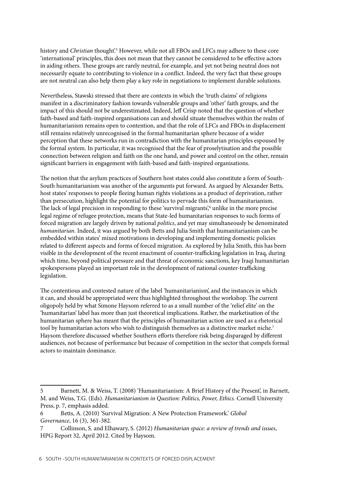history and *Christian* thought'.5 However, while not all FBOs and LFCs may adhere to these core 'international' principles, this does not mean that they cannot be considered to be effective actors in aiding others. These groups are rarely neutral, for example, and yet not being neutral does not necessarily equate to contributing to violence in a conflict. Indeed, the very fact that these groups are not neutral can also help them play a key role in negotiations to implement durable solutions.

Nevertheless, Stawski stressed that there are contexts in which the 'truth claims' of religions manifest in a discriminatory fashion towards vulnerable groups and 'other' faith groups, and the impact of this should not be underestimated. Indeed, Jeff Crisp noted that the question of whether faith-based and faith-inspired organisations can and should situate themselves within the realm of humanitarianism remains open to contention, and that the role of LFCs and FBOs in displacement still remains relatively unrecognised in the formal humanitarian sphere because of a wider perception that these networks run in contradiction with the humanitarian principles espoused by the formal system. In particular, it was recognised that the fear of proselytisation and the possible connection between religion and faith on the one hand, and power and control on the other, remain significant barriers in engagement with faith-based and faith-inspired organisations.

The notion that the asylum practices of Southern host states could also constitute a form of South-South humanitarianism was another of the arguments put forward. As argued by Alexander Betts, host states' responses to people fleeing human rights violations as a product of deprivation, rather than persecution, highlight the potential for politics to pervade this form of humanitarianism. The lack of legal precision in responding to these 'survival migrants' unlike in the more precise legal regime of refugee protection, means that State-led humanitarian responses to such forms of forced migration are largely driven by national *politics*, and yet may simultaneously be denominated *humanitarian*. Indeed, it was argued by both Betts and Julia Smith that humanitarianism can be embedded within states' mixed motivations in developing and implementing domestic policies related to different aspects and forms of forced migration. As explored by Julia Smith, this has been visible in the development of the recent enactment of counter-trafficking legislation in Iraq, during which time, beyond political pressure and that threat of economic sanctions, key Iraqi humanitarian spokespersons played an important role in the development of national counter-trafficking legislation.

The contentious and contested nature of the label 'humanitarianism', and the instances in which it can, and should be appropriated were thus highlighted throughout the workshop. The current oligopoly held by what Simone Haysom referred to as a small number of the 'relief elite' on the 'humanitarian' label has more than just theoretical implications. Rather, the marketisation of the humanitarian sphere has meant that the principles of humanitarian action are used as a rhetorical tool by humanitarian actors who wish to distinguish themselves as a distinctive market niche.<sup>7</sup> Haysom therefore discussed whether Southern efforts therefore risk being disparaged by different audiences, not because of performance but because of competition in the sector that compels formal actors to maintain dominance.

<sup>5</sup> Barnett, M. & Weiss, T. (2008) 'Humanitarianism: A Brief History of the Present', in Barnett, M. and Weiss, T.G. (Eds). *Humanitarianism in Question: Politics, Power, Ethics*. Cornell University Press, p. 7, emphasis added.

<sup>6</sup> Betts, A. (2010) 'Survival Migration: A New Protection Framework.' *Global Governance*, 16 (3), 361-382.

<sup>7</sup> Collinson, S. and Elhawary, S. (2012) *Humanitarian space: a review of trends and issues*, HPG Report 32, April 2012. Cited by Haysom.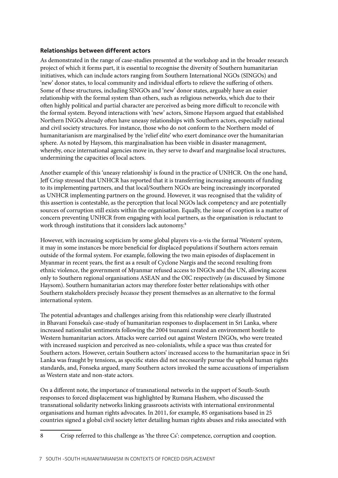### **Relationships between different actors**

As demonstrated in the range of case-studies presented at the workshop and in the broader research project of which it forms part, it is essential to recognise the diversity of Southern humanitarian initiatives, which can include actors ranging from Southern International NGOs (SINGOs) and 'new' donor states, to local community and individual efforts to relieve the suffering of others. Some of these structures, including SINGOs and 'new' donor states, arguably have an easier relationship with the formal system than others, such as religious networks, which due to their often highly political and partial character are perceived as being more difficult to reconcile with the formal system. Beyond interactions with 'new' actors, Simone Haysom argued that established Northern INGOs already often have uneasy relationships with Southern actors, especially national and civil society structures. For instance, those who do not conform to the Northern model of humanitarianism are marginalised by the 'relief elite' who exert dominance over the humanitarian sphere. As noted by Haysom, this marginalisation has been visible in disaster management, whereby, once international agencies move in, they serve to dwarf and marginalise local structures, undermining the capacities of local actors.

Another example of this 'uneasy relationship' is found in the practice of UNHCR. On the one hand, Jeff Crisp stressed that UNHCR has reported that it is transferring increasing amounts of funding to its implementing partners, and that local/Southern NGOs are being increasingly incorporated as UNHCR implementing partners on the ground. However, it was recognised that the validity of this assertion is contestable, as the perception that local NGOs lack competency and are potentially sources of corruption still exists within the organisation. Equally, the issue of cooption is a matter of concern preventing UNHCR from engaging with local partners, as the organisation is reluctant to work through institutions that it considers lack autonomy.<sup>8</sup>

However, with increasing scepticism by some global players vis-a-vis the formal 'Western' system, it may in some instances be more beneficial for displaced populations if Southern actors remain outside of the formal system. For example, following the two main episodes of displacement in Myanmar in recent years, the first as a result of Cyclone Nargis and the second resulting from ethnic violence, the government of Myanmar refused access to INGOs and the UN, allowing access only to Southern regional organisations ASEAN and the OIC respectively (as discussed by Simone Haysom). Southern humanitarian actors may therefore foster better relationships with other Southern stakeholders precisely *because* they present themselves as an alternative to the formal international system.

The potential advantages and challenges arising from this relationship were clearly illustrated in Bhavani Fonseka's case-study of humanitarian responses to displacement in Sri Lanka, where increased nationalist sentiments following the 2004 tsunami created an environment hostile to Western humanitarian actors. Attacks were carried out against Western INGOs, who were treated with increased suspicion and perceived as neo-colonialists, while a space was thus created for Southern actors. However, certain Southern actors' increased access to the humanitarian space in Sri Lanka was fraught by tensions, as specific states did not necessarily pursue the uphold human rights standards, and, Fonseka argued, many Southern actors invoked the same accusations of imperialism as Western state and non-state actors.

On a different note, the importance of transnational networks in the support of South-South responses to forced displacement was highlighted by Rumana Hashem, who discussed the transnational solidarity networks linking grassroots activists with international environmental organisations and human rights advocates. In 2011, for example, 85 organisations based in 25 countries signed a global civil society letter detailing human rights abuses and risks associated with

8 Crisp referred to this challenge as 'the three Cs': competence, corruption and cooption.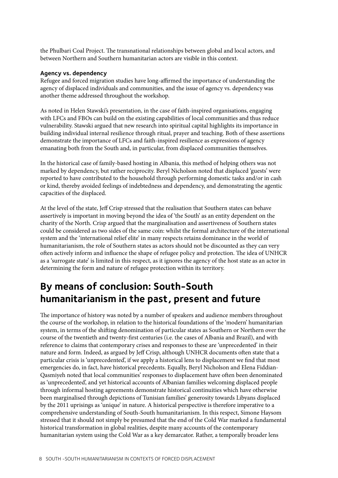the Phulbari Coal Project. The transnational relationships between global and local actors, and between Northern and Southern humanitarian actors are visible in this context.

### **Agency vs. dependency**

Refugee and forced migration studies have long-affirmed the importance of understanding the agency of displaced individuals and communities, and the issue of agency vs. dependency was another theme addressed throughout the workshop.

As noted in Helen Stawski's presentation, in the case of faith-inspired organisations, engaging with LFCs and FBOs can build on the existing capabilities of local communities and thus reduce vulnerability. Stawski argued that new research into spiritual capital highlights its importance in building individual internal resilience through ritual, prayer and teaching. Both of these assertions demonstrate the importance of LFCs and faith-inspired resilience as expressions of agency emanating both from the South and, in particular, from displaced communities themselves.

In the historical case of family-based hosting in Albania, this method of helping others was not marked by dependency, but rather reciprocity. Beryl Nicholson noted that displaced 'guests' were reported to have contributed to the household through performing domestic tasks and/or in cash or kind, thereby avoided feelings of indebtedness and dependency, and demonstrating the agentic capacities of the displaced.

At the level of the state, Jeff Crisp stressed that the realisation that Southern states can behave assertively is important in moving beyond the idea of 'the South' as an entity dependent on the charity of the North. Crisp argued that the marginalisation and assertiveness of Southern states could be considered as two sides of the same coin: whilst the formal architecture of the international system and the 'international relief elite' in many respects retains dominance in the world of humanitarianism, the role of Southern states as actors should not be discounted as they can very often actively inform and influence the shape of refugee policy and protection. The idea of UNHCR as a 'surrogate state' is limited in this respect, as it ignores the agency of the host state as an actor in determining the form and nature of refugee protection within its territory.

# **By means of conclusion: South-South humanitarianism in the past, present and future**

The importance of history was noted by a number of speakers and audience members throughout the course of the workshop, in relation to the historical foundations of the 'modern' humanitarian system, in terms of the shifting denomination of particular states as Southern or Northern over the course of the twentieth and twenty-first centuries (i.e. the cases of Albania and Brazil), and with reference to claims that contemporary crises and responses to these are 'unprecedented' in their nature and form. Indeed, as argued by Jeff Crisp, although UNHCR documents often state that a particular crisis is 'unprecedented', if we apply a historical lens to displacement we find that most emergencies do, in fact, have historical precedents. Equally, Beryl Nicholson and Elena Fiddian-Qasmiyeh noted that local communities' responses to displacement have often been denominated as 'unprecedented', and yet historical accounts of Albanian families welcoming displaced people through informal hosting agreements demonstrate historical continuities which have otherwise been marginalised through depictions of Tunisian families' generosity towards Libyans displaced by the 2011 uprisings as 'unique' in nature. A historical perspective is therefore imperative to a comprehensive understanding of South-South humanitarianism. In this respect, Simone Haysom stressed that it should not simply be presumed that the end of the Cold War marked a fundamental historical transformation in global realities, despite many accounts of the contemporary humanitarian system using the Cold War as a key demarcator. Rather, a temporally broader lens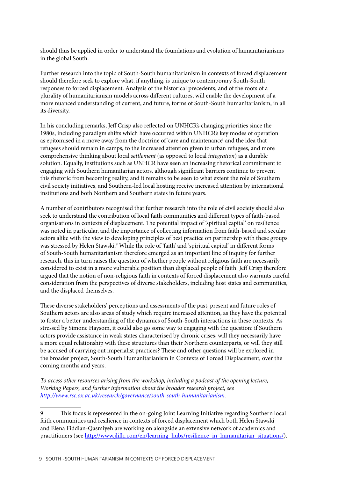should thus be applied in order to understand the foundations and evolution of humanitarianisms in the global South.

Further research into the topic of South-South humanitarianism in contexts of forced displacement should therefore seek to explore what, if anything, is unique to contemporary South-South responses to forced displacement. Analysis of the historical precedents, and of the roots of a plurality of humanitarianism models across different cultures, will enable the development of a more nuanced understanding of current, and future, forms of South-South humanitarianism, in all its diversity.

In his concluding remarks, Jeff Crisp also reflected on UNHCR's changing priorities since the 1980s, including paradigm shifts which have occurred within UNHCR's key modes of operation as epitomised in a move away from the doctrine of 'care and maintenance' and the idea that refugees should remain in camps, to the increased attention given to urban refugees, and more comprehensive thinking about local *settlement* (as opposed to local *integration*) as a durable solution. Equally, institutions such as UNHCR have seen an increasing rhetorical commitment to engaging with Southern humanitarian actors, although significant barriers continue to prevent this rhetoric from becoming reality, and it remains to be seen to what extent the role of Southern civil society initiatives, and Southern-led local hosting receive increased attention by international institutions and both Northern and Southern states in future years.

A number of contributors recognised that further research into the role of civil society should also seek to understand the contribution of local faith communities and different types of faith-based organisations in contexts of displacement. The potential impact of 'spiritual capital' on resilience was noted in particular, and the importance of collecting information from faith-based and secular actors alike with the view to developing principles of best practice on partnership with these groups was stressed by Helen Stawski.<sup>9</sup> While the role of 'faith' and 'spiritual capital' in different forms of South-South humanitarianism therefore emerged as an important line of inquiry for further research, this in turn raises the question of whether people without religious faith are necessarily considered to exist in a more vulnerable position than displaced people of faith. Jeff Crisp therefore argued that the notion of non-religious faith in contexts of forced displacement also warrants careful consideration from the perspectives of diverse stakeholders, including host states and communities, and the displaced themselves.

These diverse stakeholders' perceptions and assessments of the past, present and future roles of Southern actors are also areas of study which require increased attention, as they have the potential to foster a better understanding of the dynamics of South-South interactions in these contexts. As stressed by Simone Haysom, it could also go some way to engaging with the question: if Southern actors provide assistance in weak states characterised by chronic crises, will they necessarily have a more equal relationship with these structures than their Northern counterparts, or will they still be accused of carrying out imperialist practices? These and other questions will be explored in the broader project, South-South Humanitarianism in Contexts of Forced Displacement, over the coming months and years.

*To access other resources arising from the workshop, including a podcast of the opening lecture, Working Papers, and further information about the broader research project, see [http://www.rsc.ox.ac.uk/research/governance/south-south-humanitarianism.](http://www.rsc.ox.ac.uk/research/governance/south-south-humanitarianism)* 

9 This focus is represented in the on-going Joint Learning Initiative regarding Southern local faith communities and resilience in contexts of forced displacement which both Helen Stawski and Elena Fiddian-Qasmiyeh are working on alongside an extensive network of academics and practitioners (see [http://www.jliflc.com/en/learning\\_hubs/resilience\\_in\\_humanitarian\\_situations/\)](http://www.jliflc.com/en/learning_hubs/resilience_in_humanitarian_situations/).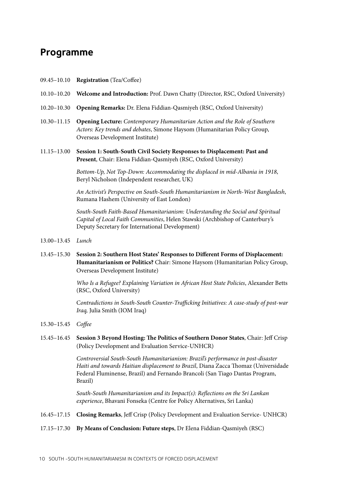# **Programme**

- 09.45–10.10 **Registration** (Tea/Coffee)
- 10.10–10.20 **Welcome and Introduction:** Prof. Dawn Chatty (Director, RSC, Oxford University)
- 10.20–10.30 **Opening Remarks:** Dr. Elena Fiddian-Qasmiyeh (RSC, Oxford University)
- 10.30–11.15 **Opening Lecture:** *Contemporary Humanitarian Action and the Role of Southern Actors: Key trends and debates*, Simone Haysom (Humanitarian Policy Group, Overseas Development Institute)
- 11.15–13.00 **Session 1: South-South Civil Society Responses to Displacement: Past and Present**, Chair: Elena Fiddian-Qasmiyeh (RSC, Oxford University)

*Bottom-Up, Not Top-Down: Accommodating the displaced in mid-Albania in 1918*, Beryl Nicholson (Independent researcher, UK)

*An Activist's Perspective on South-South Humanitarianism in North-West Bangladesh*, Rumana Hashem (University of East London)

*South-South Faith-Based Humanitarianism: Understanding the Social and Spiritual Capital of Local Faith Communities*, Helen Stawski (Archbishop of Canterbury's Deputy Secretary for International Development)

- 13.00–13.45 *Lunch*
- 13.45–15.30 **Session 2: Southern Host States' Responses to Different Forms of Displacement: Humanitarianism or Politics?** Chair: Simone Haysom (Humanitarian Policy Group, Overseas Development Institute)

*Who Is a Refugee? Explaining Variation in African Host State Policies*, Alexander Betts (RSC, Oxford University)

C*ontradictions in South-South Counter-Trafficking Initiatives: A case-study of post-war Iraq,* Julia Smith (IOM Iraq)

- 15.30–15.45 *Coffee*
- 15.45–16.45 **Session 3 Beyond Hosting: The Politics of Southern Donor States**, Chair: Jeff Crisp (Policy Development and Evaluation Service-UNHCR)

*Controversial South-South Humanitarianism: Brazil's performance in post-disaster Haiti and towards Haitian displacement to Brazil*, Diana Zacca Thomaz (Universidade Federal Fluminense, Brazil) and Fernando Brancoli (San Tiago Dantas Program, Brazil)

*South-South Humanitarianism and its Impact(s): Reflections on the Sri Lankan experience*, Bhavani Fonseka (Centre for Policy Alternatives, Sri Lanka)

- 16.45–17.15 **Closing Remarks**, Jeff Crisp (Policy Development and Evaluation Service- UNHCR)
- 17.15–17.30 **By Means of Conclusion: Future steps**, Dr Elena Fiddian-Qasmiyeh (RSC)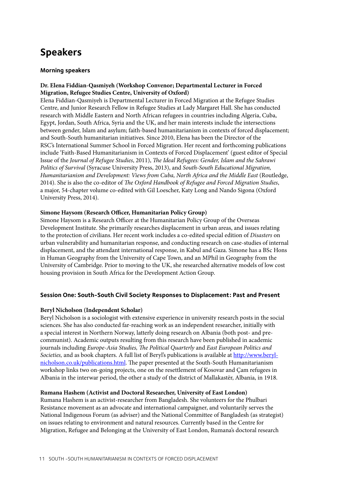# **Speakers**

### **Morning speakers**

# **Dr. Elena Fiddian-Qasmiyeh (Workshop Convenor; Departmental Lecturer in Forced Migration, Refugee Studies Centre, University of Oxford)**

Elena Fiddian-Qasmiyeh is Departmental Lecturer in Forced Migration at the Refugee Studies Centre, and Junior Research Fellow in Refugee Studies at [Lady Margaret Hall](http://www.lmh.ox.ac.uk/Tutors/Lecturers/Profiles/Dr-Elena-Fiddian-Qasmiyeh.aspx). She has conducted research with Middle Eastern and North African refugees in countries including Algeria, Cuba, Egypt, Jordan, South Africa, Syria and the UK, and her main interests include the intersections between gender, Islam and asylum; faith-based humanitarianism in contexts of forced displacement; and South-South humanitarian initiatives. Since 2010, Elena has been the Director of the RSC's [International Summer School in Forced Migration](http://www.rsc.ox.ac.uk/study/international-summer-school). Her recent and forthcoming publications include 'Faith-Based Humanitarianism in Contexts of Forced Displacement' (guest editor of Special Issue of the *Journal of Refugee Studies*, 2011), *The Ideal Refugees: Gender, Islam and the Sahrawi Politics of Survival* (Syracuse University Press, 2013), and *South-South Educational Migration, Humanitarianism and Development: Views from Cuba, North Africa and the Middle East* (Routledge, 2014). She is also the co-editor of *[The Oxford Handbook of Refugee and Forced Migration Studies](http://www.rsc.ox.ac.uk/news/handbook-refugee-forced-migration-studies)*, a major, 54-chapter volume co-edited with Gil Loescher, Katy Long and Nando Sigona (Oxford University Press, 2014).

## **Simone Haysom (Research Officer, Humanitarian Policy Group)**

Simone Haysom is a Research Officer at the Humanitarian Policy Group of the Overseas Development Institute. She primarily researches displacement in urban areas, and issues relating to the protection of civilians. Her recent work includes a co-edited special edition of *Disasters* on urban vulnerability and humanitarian response, and conducting research on case-studies of internal displacement, and the attendant international response, in Kabul and Gaza. Simone has a BSc Hons in Human Geography from the University of Cape Town, and an MPhil in Geography from the University of Cambridge. Prior to moving to the UK, she researched alternative models of low cost housing provision in South Africa for the Development Action Group.

# **Session One: South-South Civil Society Responses to Displacement: Past and Present**

### **Beryl Nicholson (Independent Scholar)**

Beryl Nicholson is a sociologist with extensive experience in university research posts in the social sciences. She has also conducted far-reaching work as an independent researcher, initially with a special interest in Northern Norway, latterly doing research on Albania (both post- and precommunist). Academic outputs resulting from this research have been published in academic journals including *Europe-Asia Studies, The Political Quarterly* and *East European Politics and Societies,* and as book chapters. A full list of Beryl's publications is available at [http://www.beryl](http://www.beryl-nicholson.co.uk/publications.html)[nicholson.co.uk/publications.html](http://www.beryl-nicholson.co.uk/publications.html). The paper presented at the South-South Humanitarianism workshop links two on-going projects, one on the resettlement of Kosovar and Çam refugees in Albania in the interwar period, the other a study of the district of Mallakastër, Albania, in 1918.

### **Rumana Hashem (Activist and Doctoral Researcher, University of East London)**

Rumana Hashem is an activist-researcher from Bangladesh. She volunteers for the Phulbari Resistance movement as an advocate and international campaigner, and voluntarily serves the National Indigenous Forum (as adviser) and the National Committee of Bangladesh (as strategist) on issues relating to environment and natural resources. Currently based in the Centre for Migration, Refugee and Belonging at the University of East London, Rumana's doctoral research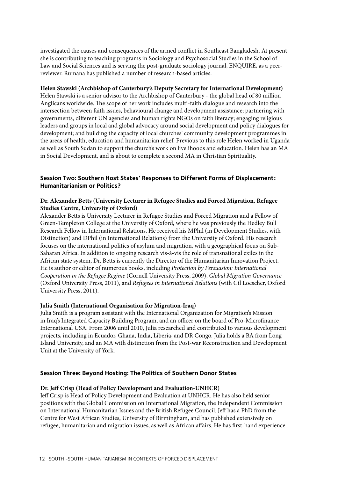investigated the causes and consequences of the armed conflict in Southeast Bangladesh. At present she is contributing to teaching programs in Sociology and Psychosocial Studies in the School of Law and Social Sciences and is serving the post-graduate sociology journal, ENQUIRE, as a peerreviewer. Rumana has published a number of research-based articles.

### **Helen Stawski (Archbishop of Canterbury's Deputy Secretary for International Development)**

Helen Stawski is a senior advisor to the Archbishop of Canterbury - the global head of 80 million Anglicans worldwide. The scope of her work includes multi-faith dialogue and research into the intersection between faith issues, behavioural change and development assistance; partnering with governments, different UN agencies and human rights NGOs on faith literacy; engaging religious leaders and groups in local and global advocacy around social development and policy dialogues for development; and building the capacity of local churches' community development programmes in the areas of health, education and humanitarian relief. Previous to this role Helen worked in Uganda as well as South Sudan to support the church's work on livelihoods and education. Helen has an MA in Social Development, and is about to complete a second MA in Christian Spirituality.

# **Session Two: Southern Host States' Responses to Different Forms of Displacement: Humanitarianism or Politics?**

### **Dr. Alexander Betts (University Lecturer in Refugee Studies and Forced Migration, Refugee Studies Centre, University of Oxford)**

Alexander Betts is University Lecturer in Refugee Studies and Forced Migration and a Fellow of Green-Templeton College at the University of Oxford, where he was previously the Hedley Bull Research Fellow in International Relations. He received his MPhil (in Development Studies, with Distinction) and DPhil (in International Relations) from the University of Oxford. His research focuses on the international politics of asylum and migration, with a geographical focus on Sub-Saharan Africa. In addition to ongoing research vis-à-vis the role of transnational exiles in the African state system, Dr. Betts is currently the Director of the Humanitarian Innovation Project. He is author or editor of numerous books, including *Protection by Persuasion: International Cooperation in the Refugee Regime* (Cornell University Press, 2009), *Global Migration Governance* (Oxford University Press, 2011), and *Refugees in International Relations* (with Gil Loescher, Oxford University Press, 2011).

#### **Julia Smith (International Organisation for Migration-Iraq)**

Julia Smith is a program assistant with the International Organization for Migration's Mission in Iraq's Integrated Capacity Building Program, and an officer on the board of Pro-Microfinance International USA. From 2006 until 2010, Julia researched and contributed to various development projects, including in Ecuador, Ghana, India, Liberia, and DR Congo. Julia holds a BA from Long Island University, and an MA with distinction from the Post-war Reconstruction and Development Unit at the University of York.

### **Session Three: Beyond Hosting: The Politics of Southern Donor States**

#### **Dr. Jeff Crisp (Head of Policy Development and Evaluation-UNHCR)**

Jeff Crisp is Head of Policy Development and Evaluation at UNHCR. He has also held senior positions with the Global Commission on International Migration, the Independent Commission on International Humanitarian Issues and the British Refugee Council. Jeff has a PhD from the Centre for West African Studies, University of Birmingham, and has published extensively on refugee, humanitarian and migration issues, as well as African affairs. He has first-hand experience